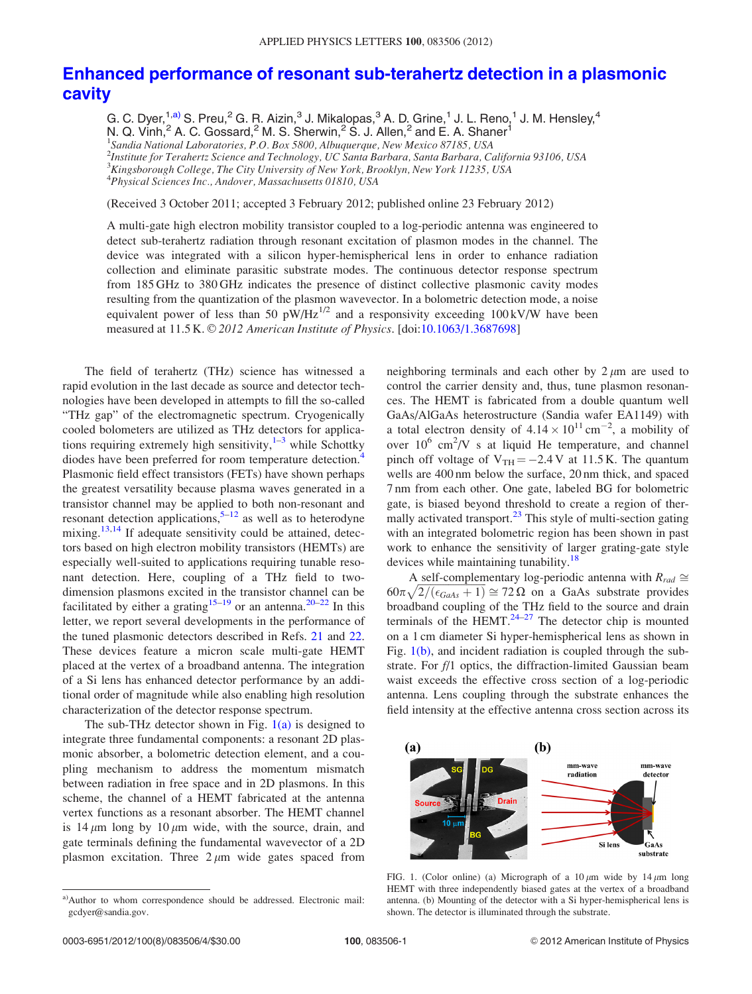## <span id="page-0-0"></span>[Enhanced performance of resonant sub-terahertz detection in a plasmonic](http://dx.doi.org/10.1063/1.3687698) [cavity](http://dx.doi.org/10.1063/1.3687698)

G. C. Dyer,<sup>1,a)</sup> S. Preu,<sup>2</sup> G. R. Aizin,<sup>3</sup> J. Mikalopas,<sup>3</sup> A. D. Grine,<sup>1</sup> J. L. Reno,<sup>1</sup> J. M. Hensley,<sup>4</sup> N. Q. Vinh,  $^2$  A. C. Gossard,  $^2$  M. S. Sherwin,  $^2$  S. J. Allen,  $^2$  and E. A. Shaner  $^1$ 

<sup>1</sup>Sandia National Laboratories, P.O. Box 5800, Albuquerque, New Mexico 87185, USA 2 Institute for Terahertz Science and Technology, UC Santa Barbara, Santa Barbara, California 93106, USA  $^3$ Kingsborough College, The City University of New York, Brooklyn, New York 11235, USA 4 Physical Sciences Inc., Andover, Massachusetts 01810, USA

(Received 3 October 2011; accepted 3 February 2012; published online 23 February 2012)

A multi-gate high electron mobility transistor coupled to a log-periodic antenna was engineered to detect sub-terahertz radiation through resonant excitation of plasmon modes in the channel. The device was integrated with a silicon hyper-hemispherical lens in order to enhance radiation collection and eliminate parasitic substrate modes. The continuous detector response spectrum from 185 GHz to 380 GHz indicates the presence of distinct collective plasmonic cavity modes resulting from the quantization of the plasmon wavevector. In a bolometric detection mode, a noise equivalent power of less than 50  $pW/Hz^{1/2}$  and a responsivity exceeding 100 kV/W have been measured at 11.5 K. © 2012 American Institute of Physics. [doi:[10.1063/1.3687698\]](http://dx.doi.org/10.1063/1.3687698)

The field of terahertz (THz) science has witnessed a rapid evolution in the last decade as source and detector technologies have been developed in attempts to fill the so-called "THz gap" of the electromagnetic spectrum. Cryogenically cooled bolometers are utilized as THz detectors for applications requiring extremely high sensitivity, $1-3$  while Schottky diodes have been preferred for room temperature detection.<sup>4</sup> Plasmonic field effect transistors (FETs) have shown perhaps the greatest versatility because plasma waves generated in a transistor channel may be applied to both non-resonant and resonant detection applications,  $5-12$  $5-12$  as well as to heterodyne mixing.<sup>[13,14](#page-3-0)</sup> If adequate sensitivity could be attained, detectors based on high electron mobility transistors (HEMTs) are especially well-suited to applications requiring tunable resonant detection. Here, coupling of a THz field to twodimension plasmons excited in the transistor channel can be facilitated by either a grating<sup>[15](#page-3-0)–[19](#page-3-0)</sup> or an antenna.<sup>[20–22](#page-3-0)</sup> In this letter, we report several developments in the performance of the tuned plasmonic detectors described in Refs. [21](#page-3-0) and [22](#page-3-0). These devices feature a micron scale multi-gate HEMT placed at the vertex of a broadband antenna. The integration of a Si lens has enhanced detector performance by an additional order of magnitude while also enabling high resolution characterization of the detector response spectrum.

The sub-THz detector shown in Fig.  $1(a)$  is designed to integrate three fundamental components: a resonant 2D plasmonic absorber, a bolometric detection element, and a coupling mechanism to address the momentum mismatch between radiation in free space and in 2D plasmons. In this scheme, the channel of a HEMT fabricated at the antenna vertex functions as a resonant absorber. The HEMT channel is 14  $\mu$ m long by 10  $\mu$ m wide, with the source, drain, and gate terminals defining the fundamental wavevector of a 2D plasmon excitation. Three  $2 \mu m$  wide gates spaced from neighboring terminals and each other by  $2 \mu m$  are used to control the carrier density and, thus, tune plasmon resonances. The HEMT is fabricated from a double quantum well GaAs/AlGaAs heterostructure (Sandia wafer EA1149) with a total electron density of  $4.14 \times 10^{11}$  cm<sup>-2</sup>, a mobility of over  $10^6$  cm<sup>2</sup>/V s at liquid He temperature, and channel pinch off voltage of  $V_{TH} = -2.4 V$  at 11.5 K. The quantum wells are 400 nm below the surface, 20 nm thick, and spaced 7 nm from each other. One gate, labeled BG for bolometric gate, is biased beyond threshold to create a region of ther-mally activated transport.<sup>[23](#page-3-0)</sup> This style of multi-section gating with an integrated bolometric region has been shown in past work to enhance the sensitivity of larger grating-gate style devices while maintaining tunability.<sup>[18](#page-3-0)</sup>

A self-complementary log-periodic antenna with  $R_{rad} \cong$  $60\pi\sqrt{2/(\epsilon_{Gads}+1)} \approx 72 \Omega$  on a GaAs substrate provides broadband coupling of the THz field to the source and drain terminals of the HEMT. $24-27$  $24-27$  $24-27$  The detector chip is mounted on a 1 cm diameter Si hyper-hemispherical lens as shown in Fig. 1(b), and incident radiation is coupled through the substrate. For f/1 optics, the diffraction-limited Gaussian beam waist exceeds the effective cross section of a log-periodic antenna. Lens coupling through the substrate enhances the field intensity at the effective antenna cross section across its



FIG. 1. (Color online) (a) Micrograph of a  $10 \mu m$  wide by  $14 \mu m$  long HEMT with three independently biased gates at the vertex of a broadband antenna. (b) Mounting of the detector with a Si hyper-hemispherical lens is shown. The detector is illuminated through the substrate.

a)Author to whom correspondence should be addressed. Electronic mail: gcdyer@sandia.gov.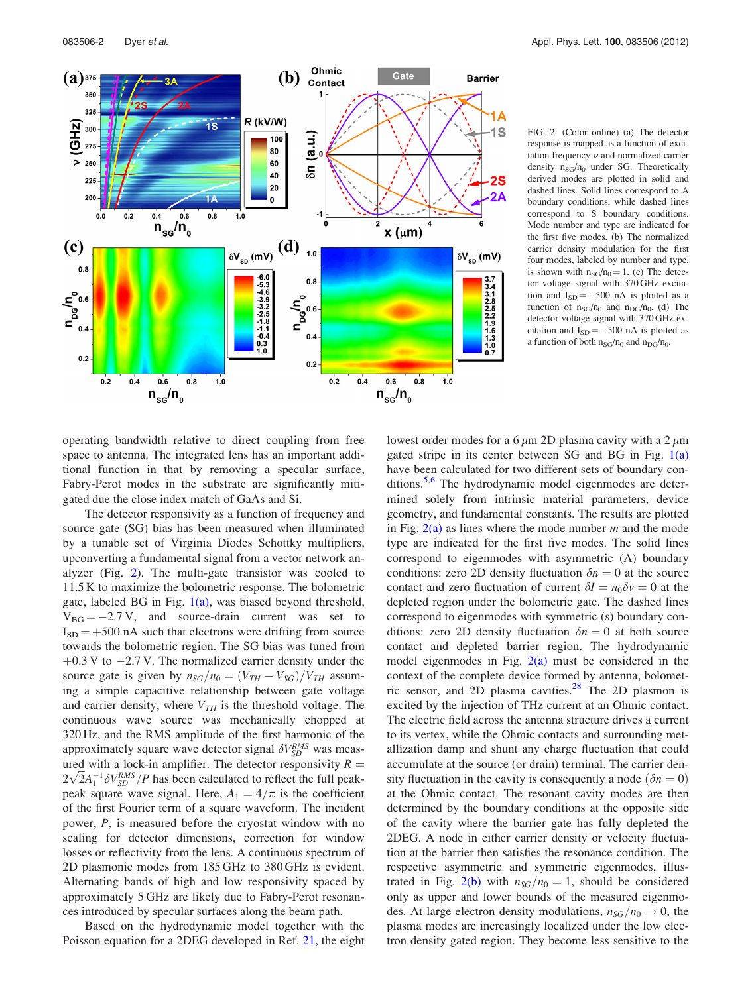<span id="page-1-0"></span>

FIG. 2. (Color online) (a) The detector response is mapped as a function of excitation frequency  $\nu$  and normalized carrier density  $n_{SG}/n_0$  under SG. Theoretically derived modes are plotted in solid and dashed lines. Solid lines correspond to A boundary conditions, while dashed lines correspond to S boundary conditions. Mode number and type are indicated for the first five modes. (b) The normalized carrier density modulation for the first four modes, labeled by number and type, is shown with  $n_{SG}/n_0 = 1$ . (c) The detector voltage signal with 370 GHz excitation and  $I_{SD} = +500$  nA is plotted as a function of  $n_{SG}/n_0$  and  $n_{DG}/n_0$ . (d) The detector voltage signal with 370 GHz excitation and  $I_{SD} = -500$  nA is plotted as a function of both  $n_{\rm SG}/n_0$  and  $n_{\rm DG}/n_0.$ 

operating bandwidth relative to direct coupling from free space to antenna. The integrated lens has an important additional function in that by removing a specular surface, Fabry-Perot modes in the substrate are significantly mitigated due the close index match of GaAs and Si.

The detector responsivity as a function of frequency and source gate (SG) bias has been measured when illuminated by a tunable set of Virginia Diodes Schottky multipliers, upconverting a fundamental signal from a vector network analyzer (Fig. 2). The multi-gate transistor was cooled to 11.5 K to maximize the bolometric response. The bolometric gate, labeled BG in Fig.  $1(a)$ , was biased beyond threshold,  $V_{BG} = -2.7 V$ , and source-drain current was set to  $I_{SD} = +500$  nA such that electrons were drifting from source towards the bolometric region. The SG bias was tuned from  $+0.3$  V to  $-2.7$  V. The normalized carrier density under the source gate is given by  $n_{SG}/n_0 = (V_{TH} - V_{SG})/V_{TH}$  assuming a simple capacitive relationship between gate voltage and carrier density, where  $V_{TH}$  is the threshold voltage. The continuous wave source was mechanically chopped at 320 Hz, and the RMS amplitude of the first harmonic of the approximately square wave detector signal  $\delta V_{SD}^{RMS}$  was measured with a lock-in amplifier. The detector responsivity  $R =$ The detector responsivity  $K = 2\sqrt{2}A_1^{-1}\delta V_{SD}^{RMS}/P$  has been calculated to reflect the full peakpeak square wave signal. Here,  $A_1 = 4/\pi$  is the coefficient of the first Fourier term of a square waveform. The incident power, P, is measured before the cryostat window with no scaling for detector dimensions, correction for window losses or reflectivity from the lens. A continuous spectrum of 2D plasmonic modes from 185 GHz to 380 GHz is evident. Alternating bands of high and low responsivity spaced by approximately 5 GHz are likely due to Fabry-Perot resonances introduced by specular surfaces along the beam path.

Based on the hydrodynamic model together with the Poisson equation for a 2DEG developed in Ref. [21,](#page-3-0) the eight lowest order modes for a 6  $\mu$ m 2D plasma cavity with a 2  $\mu$ m gated stripe in its center between SG and BG in Fig. [1\(a\)](#page-0-0) have been calculated for two different sets of boundary con-ditions.<sup>[5,6](#page-3-0)</sup> The hydrodynamic model eigenmodes are determined solely from intrinsic material parameters, device geometry, and fundamental constants. The results are plotted in Fig.  $2(a)$  as lines where the mode number m and the mode type are indicated for the first five modes. The solid lines correspond to eigenmodes with asymmetric (A) boundary conditions: zero 2D density fluctuation  $\delta n = 0$  at the source contact and zero fluctuation of current  $\delta I = n_0 \delta v = 0$  at the depleted region under the bolometric gate. The dashed lines correspond to eigenmodes with symmetric (s) boundary conditions: zero 2D density fluctuation  $\delta n = 0$  at both source contact and depleted barrier region. The hydrodynamic model eigenmodes in Fig.  $2(a)$  must be considered in the context of the complete device formed by antenna, bolometric sensor, and 2D plasma cavities. $28$  The 2D plasmon is excited by the injection of THz current at an Ohmic contact. The electric field across the antenna structure drives a current to its vertex, while the Ohmic contacts and surrounding metallization damp and shunt any charge fluctuation that could accumulate at the source (or drain) terminal. The carrier density fluctuation in the cavity is consequently a node  $(\delta n = 0)$ at the Ohmic contact. The resonant cavity modes are then determined by the boundary conditions at the opposite side of the cavity where the barrier gate has fully depleted the 2DEG. A node in either carrier density or velocity fluctuation at the barrier then satisfies the resonance condition. The respective asymmetric and symmetric eigenmodes, illustrated in Fig. 2(b) with  $n_{SG}/n_0 = 1$ , should be considered only as upper and lower bounds of the measured eigenmodes. At large electron density modulations,  $n_{SG}/n_0 \rightarrow 0$ , the plasma modes are increasingly localized under the low electron density gated region. They become less sensitive to the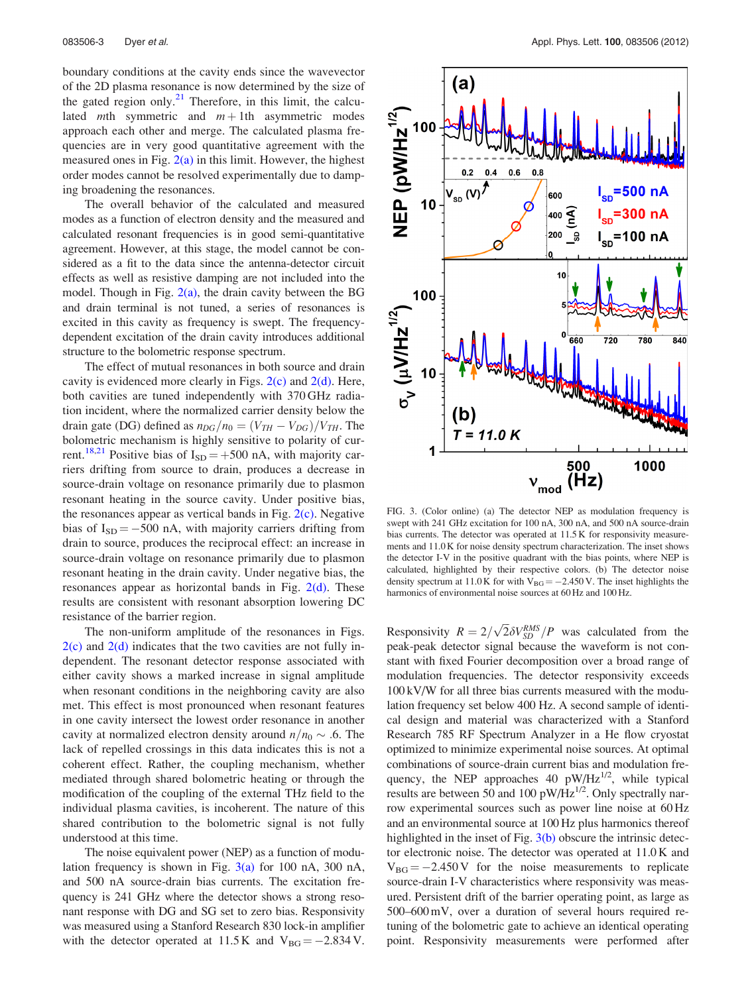<span id="page-2-0"></span>boundary conditions at the cavity ends since the wavevector of the 2D plasma resonance is now determined by the size of the gated region only. $2<sup>1</sup>$  Therefore, in this limit, the calculated *mth* symmetric and  $m + 1$ th asymmetric modes approach each other and merge. The calculated plasma frequencies are in very good quantitative agreement with the measured ones in Fig.  $2(a)$  in this limit. However, the highest order modes cannot be resolved experimentally due to damping broadening the resonances.

The overall behavior of the calculated and measured modes as a function of electron density and the measured and calculated resonant frequencies is in good semi-quantitative agreement. However, at this stage, the model cannot be considered as a fit to the data since the antenna-detector circuit effects as well as resistive damping are not included into the model. Though in Fig.  $2(a)$ , the drain cavity between the BG and drain terminal is not tuned, a series of resonances is excited in this cavity as frequency is swept. The frequencydependent excitation of the drain cavity introduces additional structure to the bolometric response spectrum.

The effect of mutual resonances in both source and drain cavity is evidenced more clearly in Figs.  $2(c)$  and  $2(d)$ . Here, both cavities are tuned independently with 370 GHz radiation incident, where the normalized carrier density below the drain gate (DG) defined as  $n_{DG}/n_0=(V_{TH}-V_{DG})/V_{TH}$ . The bolometric mechanism is highly sensitive to polarity of cur-rent.<sup>[18,21](#page-3-0)</sup> Positive bias of  $I_{SD} = +500$  nA, with majority carriers drifting from source to drain, produces a decrease in source-drain voltage on resonance primarily due to plasmon resonant heating in the source cavity. Under positive bias, the resonances appear as vertical bands in Fig.  $2(c)$ . Negative bias of  $I_{SD} = -500$  nA, with majority carriers drifting from drain to source, produces the reciprocal effect: an increase in source-drain voltage on resonance primarily due to plasmon resonant heating in the drain cavity. Under negative bias, the resonances appear as horizontal bands in Fig. [2\(d\)](#page-1-0). These results are consistent with resonant absorption lowering DC resistance of the barrier region.

The non-uniform amplitude of the resonances in Figs.  $2(c)$  and  $2(d)$  indicates that the two cavities are not fully independent. The resonant detector response associated with either cavity shows a marked increase in signal amplitude when resonant conditions in the neighboring cavity are also met. This effect is most pronounced when resonant features in one cavity intersect the lowest order resonance in another cavity at normalized electron density around  $n/n_0 \sim .6$ . The lack of repelled crossings in this data indicates this is not a coherent effect. Rather, the coupling mechanism, whether mediated through shared bolometric heating or through the modification of the coupling of the external THz field to the individual plasma cavities, is incoherent. The nature of this shared contribution to the bolometric signal is not fully understood at this time.

The noise equivalent power (NEP) as a function of modulation frequency is shown in Fig.  $3(a)$  for 100 nA, 300 nA, and 500 nA source-drain bias currents. The excitation frequency is 241 GHz where the detector shows a strong resonant response with DG and SG set to zero bias. Responsivity was measured using a Stanford Research 830 lock-in amplifier with the detector operated at  $11.5 \text{ K}$  and  $V_{BG} = -2.834 \text{ V}$ .



FIG. 3. (Color online) (a) The detector NEP as modulation frequency is swept with 241 GHz excitation for 100 nA, 300 nA, and 500 nA source-drain bias currents. The detector was operated at 11.5 K for responsivity measurements and 11.0 K for noise density spectrum characterization. The inset shows the detector I-V in the positive quadrant with the bias points, where NEP is calculated, highlighted by their respective colors. (b) The detector noise density spectrum at 11.0 K for with  $V_{BG} = -2.450 V$ . The inset highlights the harmonics of environmental noise sources at 60 Hz and 100 Hz.

Responsivity  $R = 2/\sqrt{2} \delta V_{SD}^{RMS}/P$  was calculated from the peak-peak detector signal because the waveform is not constant with fixed Fourier decomposition over a broad range of modulation frequencies. The detector responsivity exceeds 100 kV/W for all three bias currents measured with the modulation frequency set below 400 Hz. A second sample of identical design and material was characterized with a Stanford Research 785 RF Spectrum Analyzer in a He flow cryostat optimized to minimize experimental noise sources. At optimal combinations of source-drain current bias and modulation frequency, the NEP approaches 40  $pW/Hz^{1/2}$ , while typical results are between 50 and 100 pW/Hz $^{1/2}$ . Only spectrally narrow experimental sources such as power line noise at 60 Hz and an environmental source at 100 Hz plus harmonics thereof highlighted in the inset of Fig.  $3(b)$  obscure the intrinsic detector electronic noise. The detector was operated at 11.0 K and  $V_{BG} = -2.450 V$  for the noise measurements to replicate source-drain I-V characteristics where responsivity was measured. Persistent drift of the barrier operating point, as large as 500–600 mV, over a duration of several hours required retuning of the bolometric gate to achieve an identical operating point. Responsivity measurements were performed after